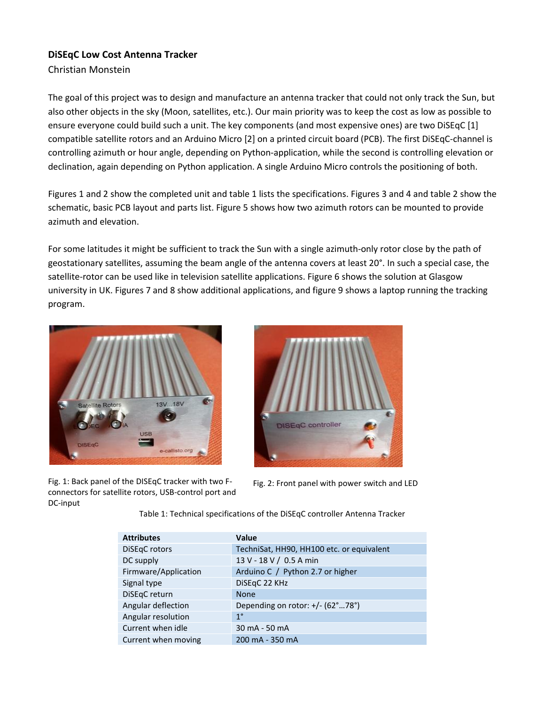# **DiSEqC Low Cost Antenna Tracker**

Christian Monstein

The goal of this project was to design and manufacture an antenna tracker that could not only track the Sun, but also other objects in the sky (Moon, satellites, etc.). Our main priority was to keep the cost as low as possible to ensure everyone could build such a unit. The key components (and most expensive ones) are two DiSEqC [1] compatible satellite rotors and an Arduino Micro [2] on a printed circuit board (PCB). The first DiSEqC-channel is controlling azimuth or hour angle, depending on Python-application, while the second is controlling elevation or declination, again depending on Python application. A single Arduino Micro controls the positioning of both.

Figures 1 and 2 show the completed unit and table 1 lists the specifications. Figures 3 and 4 and table 2 show the schematic, basic PCB layout and parts list. Figure 5 shows how two azimuth rotors can be mounted to provide azimuth and elevation.

For some latitudes it might be sufficient to track the Sun with a single azimuth-only rotor close by the path of geostationary satellites, assuming the beam angle of the antenna covers at least 20°. In such a special case, the satellite-rotor can be used like in television satellite applications. Figure 6 shows the solution at Glasgow university in UK. Figures 7 and 8 show additional applications, and figure 9 shows a laptop running the tracking program.





Fig. 1: Back panel of the DISEqC tracker with two Fconnectors for satellite rotors, USB-control port and DC-input

Fig. 2: Front panel with power switch and LED

Table 1: Technical specifications of the DiSEqC controller Antenna Tracker

| <b>Attributes</b>    | Value                                            |
|----------------------|--------------------------------------------------|
| DiSEqC rotors        | TechniSat, HH90, HH100 etc. or equivalent        |
| DC supply            | 13 V - 18 V / 0.5 A min                          |
| Firmware/Application | Arduino C / Python 2.7 or higher                 |
| Signal type          | DiSEqC 22 KHz                                    |
| DiSEqC return        | <b>None</b>                                      |
| Angular deflection   | Depending on rotor: $+/- (62^{\circ}78^{\circ})$ |
| Angular resolution   | $1^{\circ}$                                      |
| Current when idle    | 30 mA - 50 mA                                    |
| Current when moving  | 200 mA - 350 mA                                  |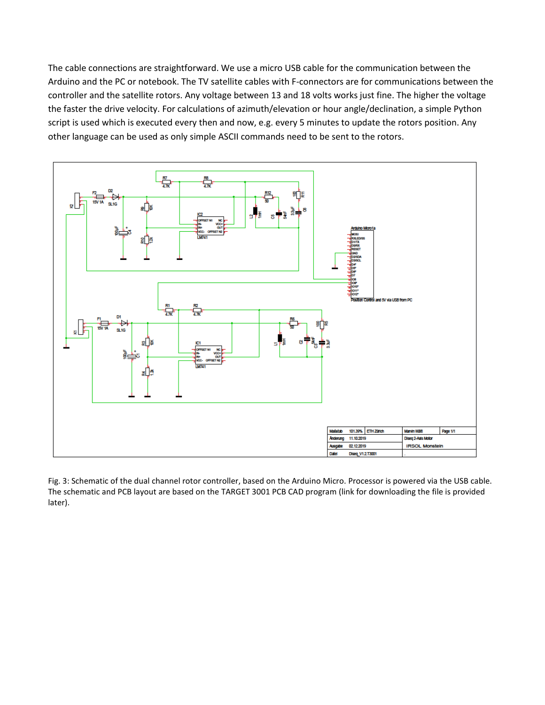The cable connections are straightforward. We use a micro USB cable for the communication between the Arduino and the PC or notebook. The TV satellite cables with F-connectors are for communications between the controller and the satellite rotors. Any voltage between 13 and 18 volts works just fine. The higher the voltage the faster the drive velocity. For calculations of azimuth/elevation or hour angle/declination, a simple Python script is used which is executed every then and now, e.g. every 5 minutes to update the rotors position. Any other language can be used as only simple ASCII commands need to be sent to the rotors.



Fig. 3: Schematic of the dual channel rotor controller, based on the Arduino Micro. Processor is powered via the USB cable. The schematic and PCB layout are based on the TARGET 3001 PCB CAD program (link for downloading the file is provided later).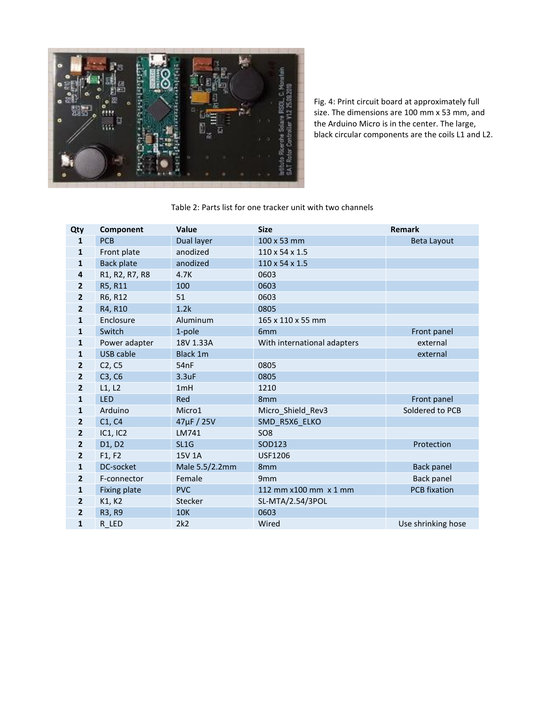

Fig. 4: Print circuit board at approximately full size. The dimensions are 100 mm x 53 mm, and the Arduino Micro is in the center. The large, black circular components are the coils L1 and L2.

## Table 2: Parts list for one tracker unit with two channels

| Qty                     | Component           | <b>Value</b>   | <b>Size</b>                 | Remark              |
|-------------------------|---------------------|----------------|-----------------------------|---------------------|
| 1                       | <b>PCB</b>          | Dual layer     | 100 x 53 mm                 | Beta Layout         |
| 1                       | Front plate         | anodized       | $110 \times 54 \times 1.5$  |                     |
| 1                       | <b>Back plate</b>   | anodized       | 110 x 54 x 1.5              |                     |
| $\overline{\mathbf{4}}$ | R1, R2, R7, R8      | 4.7K           | 0603                        |                     |
| 2                       | R5, R11             | 100            | 0603                        |                     |
| $\overline{2}$          | R6, R12             | 51             | 0603                        |                     |
| 2                       | R4, R10             | 1.2k           | 0805                        |                     |
| 1                       | Enclosure           | Aluminum       | 165 x 110 x 55 mm           |                     |
| 1                       | Switch              | 1-pole         | 6 <sub>mm</sub>             | Front panel         |
| 1                       | Power adapter       | 18V 1.33A      | With international adapters | external            |
| 1                       | <b>USB cable</b>    | Black 1m       |                             | external            |
| 2                       | C2, C5              | 54nF           | 0805                        |                     |
| 2                       | C3, C6              | 3.3uF          | 0805                        |                     |
| $\overline{2}$          | L1, L2              | 1mH            | 1210                        |                     |
| 1                       | <b>LED</b>          | Red            | 8 <sub>mm</sub>             | Front panel         |
| 1                       | Arduino             | Micro1         | Micro Shield Rev3           | Soldered to PCB     |
| $\overline{2}$          | C1, C4              | 47µF / 25V     | SMD R5X6 ELKO               |                     |
| 2                       | <b>IC1, IC2</b>     | LM741          | SO <sub>8</sub>             |                     |
| $\overline{2}$          | D1, D2              | SL1G           | SOD123                      | Protection          |
| 2                       | F1, F2              | 15V 1A         | <b>USF1206</b>              |                     |
| $\mathbf{1}$            | DC-socket           | Male 5.5/2.2mm | 8 <sub>mm</sub>             | <b>Back panel</b>   |
| $\mathbf{2}$            | F-connector         | Female         | 9 <sub>mm</sub>             | Back panel          |
| 1                       | <b>Fixing plate</b> | <b>PVC</b>     | 112 mm x100 mm x 1 mm       | <b>PCB</b> fixation |
| 2                       | K1, K2              | Stecker        | SL-MTA/2.54/3POL            |                     |
| 2                       | R3, R9              | <b>10K</b>     | 0603                        |                     |
| 1                       | R LED               | 2k2            | Wired                       | Use shrinking hose  |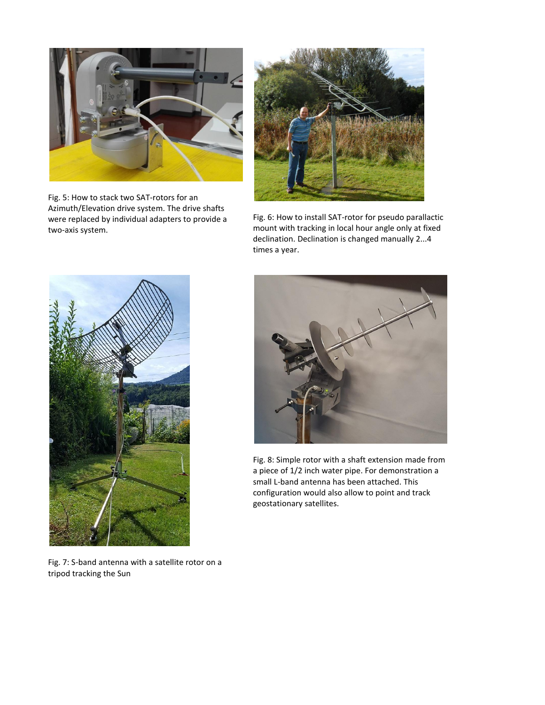

Fig. 5: How to stack two SAT-rotors for an Azimuth/Elevation drive system. The drive shafts were replaced by individual adapters to provide a two-axis system.



Fig. 6: How to install SAT-rotor for pseudo parallactic mount with tracking in local hour angle only at fixed declination. Declination is changed manually 2...4 times a year.



Fig. 8: Simple rotor with a shaft extension made from a piece of 1/2 inch water pipe. For demonstration a small L-band antenna has been attached. This configuration would also allow to point and track geostationary satellites.

Fig. 7: S-band antenna with a satellite rotor on a tripod tracking the Sun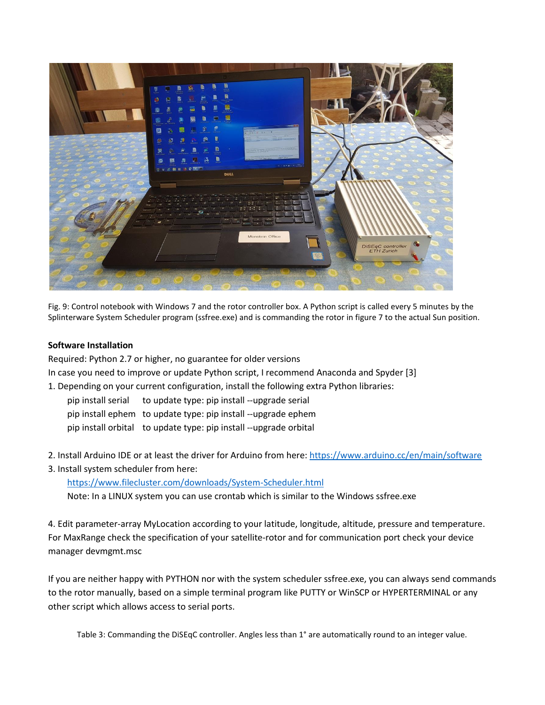

Fig. 9: Control notebook with Windows 7 and the rotor controller box. A Python script is called every 5 minutes by the Splinterware System Scheduler program (ssfree.exe) and is commanding the rotor in figure 7 to the actual Sun positi*o*n.

## **Software Installation**

Required: Python 2.7 or higher, no guarantee for older versions In case you need to improve or update Python script, I recommend Anaconda and Spyder [3]

- 1. Depending on your current configuration, install the following extra Python libraries:
	- pip install serial to update type: pip install --upgrade serial
	- pip install ephem to update type: pip install --upgrade ephem
	- pip install orbital to update type: pip install --upgrade orbital
- 2. Install Arduino IDE or at least the driver for Arduino from here[: https://www.arduino.cc/en/main/software](https://www.arduino.cc/en/main/software)
- 3. Install system scheduler from here:

<https://www.filecluster.com/downloads/System-Scheduler.html>

Note: In a LINUX system you can use crontab which is similar to the Windows ssfree.exe

4. Edit parameter-array MyLocation according to your latitude, longitude, altitude, pressure and temperature. For MaxRange check the specification of your satellite-rotor and for communication port check your device manager devmgmt.msc

If you are neither happy with PYTHON nor with the system scheduler ssfree.exe, you can always send commands to the rotor manually, based on a simple terminal program like PUTTY or WinSCP or HYPERTERMINAL or any other script which allows access to serial ports.

Table 3: Commanding the DiSEqC controller. Angles less than 1° are automatically round to an integer value.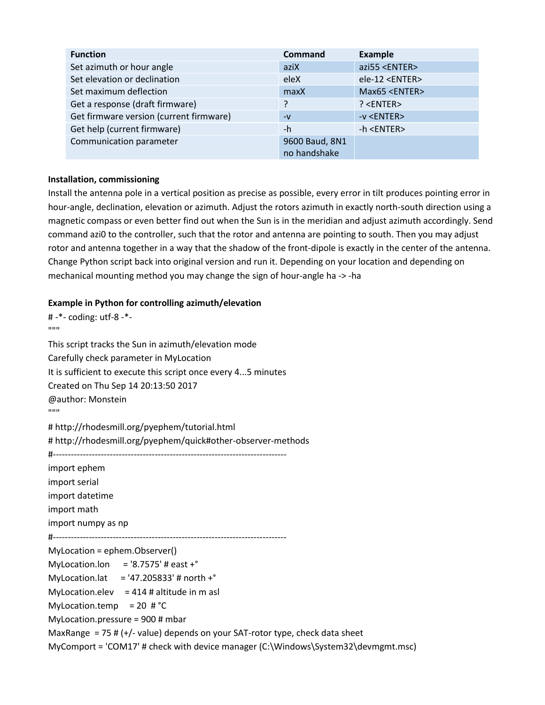| <b>Function</b>                         | <b>Command</b> | <b>Example</b>         |
|-----------------------------------------|----------------|------------------------|
| Set azimuth or hour angle               | aziX           | azi55 <enter></enter>  |
| Set elevation or declination            | eleX           | ele-12 <enter></enter> |
| Set maximum deflection                  | maxX           | Max65 <enter></enter>  |
| Get a response (draft firmware)         | 7              | ? < ENTER              |
| Get firmware version (current firmware) | $-V$           | -v <enter></enter>     |
| Get help (current firmware)             | -h             | -h <enter></enter>     |
| Communication parameter                 | 9600 Baud, 8N1 |                        |
|                                         | no handshake   |                        |

#### **Installation, commissioning**

Install the antenna pole in a vertical position as precise as possible, every error in tilt produces pointing error in hour-angle, declination, elevation or azimuth. Adjust the rotors azimuth in exactly north-south direction using a magnetic compass or even better find out when the Sun is in the meridian and adjust azimuth accordingly. Send command azi0 to the controller, such that the rotor and antenna are pointing to south. Then you may adjust rotor and antenna together in a way that the shadow of the front-dipole is exactly in the center of the antenna. Change Python script back into original version and run it. Depending on your location and depending on mechanical mounting method you may change the sign of hour-angle ha -> -ha

#### **Example in Python for controlling azimuth/elevation**

# -\*- coding: utf-8 -\*-  $"''"$ 

This script tracks the Sun in azimuth/elevation mode Carefully check parameter in MyLocation It is sufficient to execute this script once every 4...5 minutes Created on Thu Sep 14 20:13:50 2017 @author: Monstein  $"''"$ 

# http://rhodesmill.org/pyephem/tutorial.html # http://rhodesmill.org/pyephem/quick#other-observer-methods

#------------------------------------------------------------------------------

import ephem import serial import datetime import math import numpy as np #------------------------------------------------------------------------------ MyLocation = ephem.Observer() MyLocation.lon = '8.7575' # east  $+^{\circ}$ MyLocation.lat = '47.205833' # north + $^{\circ}$ MyLocation.elev =  $414$  # altitude in m asl MyLocation.temp = 20  $\#^{\circ}C$ MyLocation.pressure = 900 # mbar MaxRange = 75 #  $(+/-$  value) depends on your SAT-rotor type, check data sheet MyComport = 'COM17' # check with device manager (C:\Windows\System32\devmgmt.msc)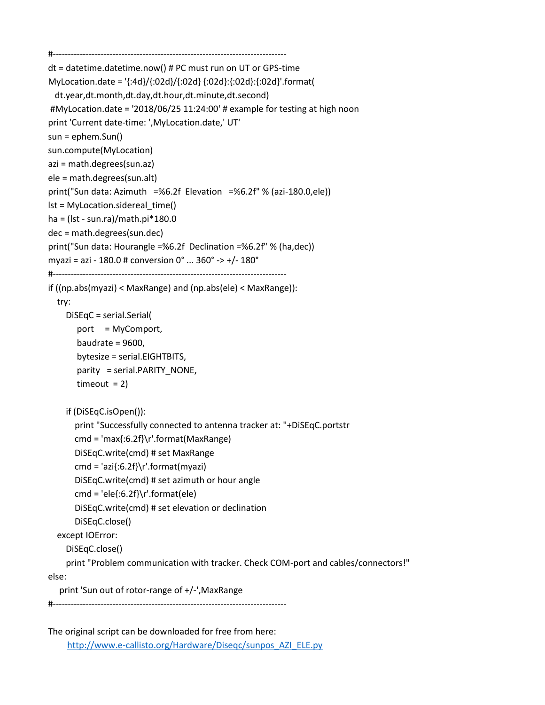```
#------------------------------------------------------------------------------
dt = datetime.datetime.now() # PC must run on UT or GPS-time
MyLocation.date = '{:4d}/{:02d}/{:02d} {:02d}:{:02d}:{:02d}'.format(
  dt.year,dt.month,dt.day,dt.hour,dt.minute,dt.second)
#MyLocation.date = '2018/06/25 11:24:00' # example for testing at high noon
print 'Current date-time: ',MyLocation.date,' UT'
sun = ephem.Sun()
sun.compute(MyLocation)
azi = math.degrees(sun.az)
ele = math.degrees(sun.alt)
print("Sun data: Azimuth =%6.2f Elevation =%6.2f" % (azi-180.0,ele))
lst = MyLocation.sidereal_time()
ha = (lst - sun.ra)/math.pi*180.0
dec = math.degrees(sun.dec)
print("Sun data: Hourangle =%6.2f Declination =%6.2f" % (ha,dec))
myazi = azi - 180.0 # conversion 0° ... 360° -> +/- 180°
#------------------------------------------------------------------------------
if ((np.abs(myazi) < MaxRange) and (np.abs(ele) < MaxRange)):
   try:
     DiSEqC = serial.Serial(
       port = MyComport,
        baudrate = 9600,
        bytesize = serial.EIGHTBITS,
       parity = serial.PARITY_NONE,
       timeout = 2)
     if (DiSEqC.isOpen()):
       print "Successfully connected to antenna tracker at: "+DiSEqC.portstr
       cmd = 'max{:6.2f}\r'.format(MaxRange) 
       DiSEqC.write(cmd) # set MaxRange
       cmd = 'azi{:6.2f}\r'.format(myazi) 
       DiSEqC.write(cmd) # set azimuth or hour angle 
      cmd = 'ele{:6.2f}\r'.format(ele)
       DiSEqC.write(cmd) # set elevation or declination
       DiSEqC.close() 
   except IOError:
     DiSEqC.close()
     print "Problem communication with tracker. Check COM-port and cables/connectors!"
else:
   print 'Sun out of rotor-range of +/-',MaxRange
```

```
#------------------------------------------------------------------------------
```

```
The original script can be downloaded for free from here: 
    http://www.e-callisto.org/Hardware/Diseqc/sunpos_AZI_ELE.py
```